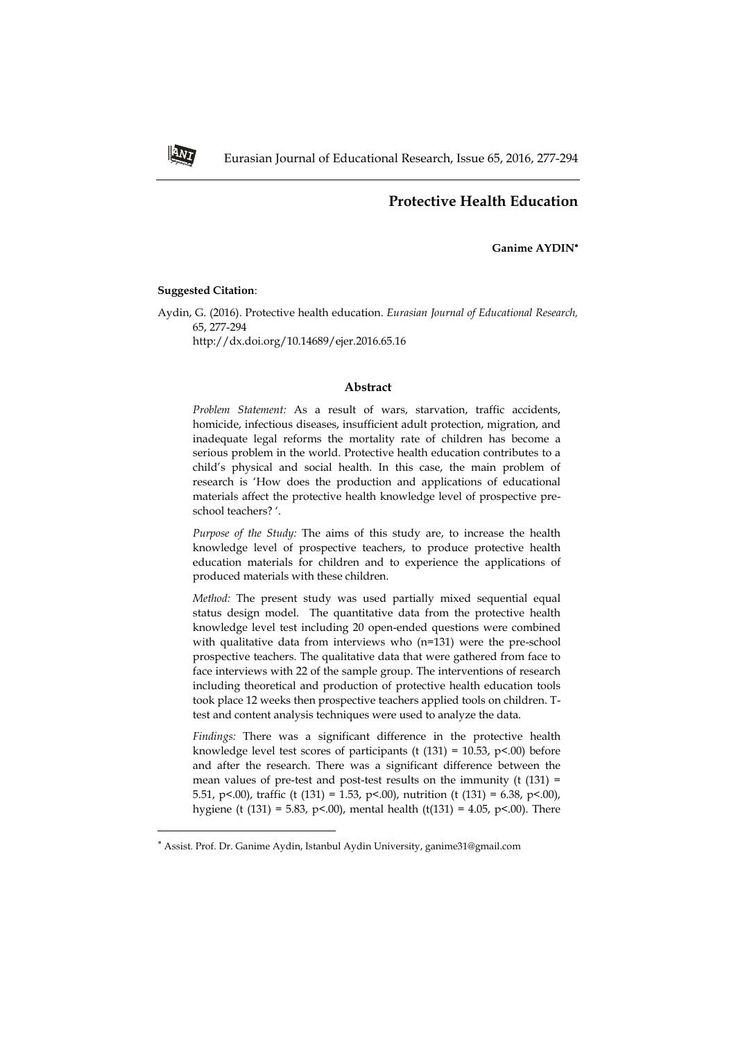# **Protective Health Education**

### **Ganime AYDIN**

## **Suggested Citation**:

 $\overline{a}$ 

Aydin, G. (2016). Protective health education. *Eurasian Journal of Educational Research,* 65, 277-294

http://dx.doi.org/10.14689/ejer.2016.65.16

### **Abstract**

*Problem Statement:* As a result of wars, starvation, traffic accidents, homicide, infectious diseases, insufficient adult protection, migration, and inadequate legal reforms the mortality rate of children has become a serious problem in the world. Protective health education contributes to a child's physical and social health. In this case, the main problem of research is 'How does the production and applications of educational materials affect the protective health knowledge level of prospective preschool teachers? '.

*Purpose of the Study:* The aims of this study are, to increase the health knowledge level of prospective teachers, to produce protective health education materials for children and to experience the applications of produced materials with these children.

*Method:* The present study was used partially mixed sequential equal status design model. The quantitative data from the protective health knowledge level test including 20 open-ended questions were combined with qualitative data from interviews who (n=131) were the pre-school prospective teachers. The qualitative data that were gathered from face to face interviews with 22 of the sample group. The interventions of research including theoretical and production of protective health education tools took place 12 weeks then prospective teachers applied tools on children. Ttest and content analysis techniques were used to analyze the data.

*Findings:* There was a significant difference in the protective health knowledge level test scores of participants (t  $(131) = 10.53$ ,  $p < .00$ ) before and after the research. There was a significant difference between the mean values of pre-test and post-test results on the immunity (t (131) = 5.51, p<.00), traffic (t (131) = 1.53, p<.00), nutrition (t (131) = 6.38, p<.00), hygiene (t (131) = 5.83, p <.00), mental health (t(131) = 4.05, p <.00). There



Assist. Prof. Dr. Ganime Aydin, Istanbul Aydin University, ganime31@gmail.com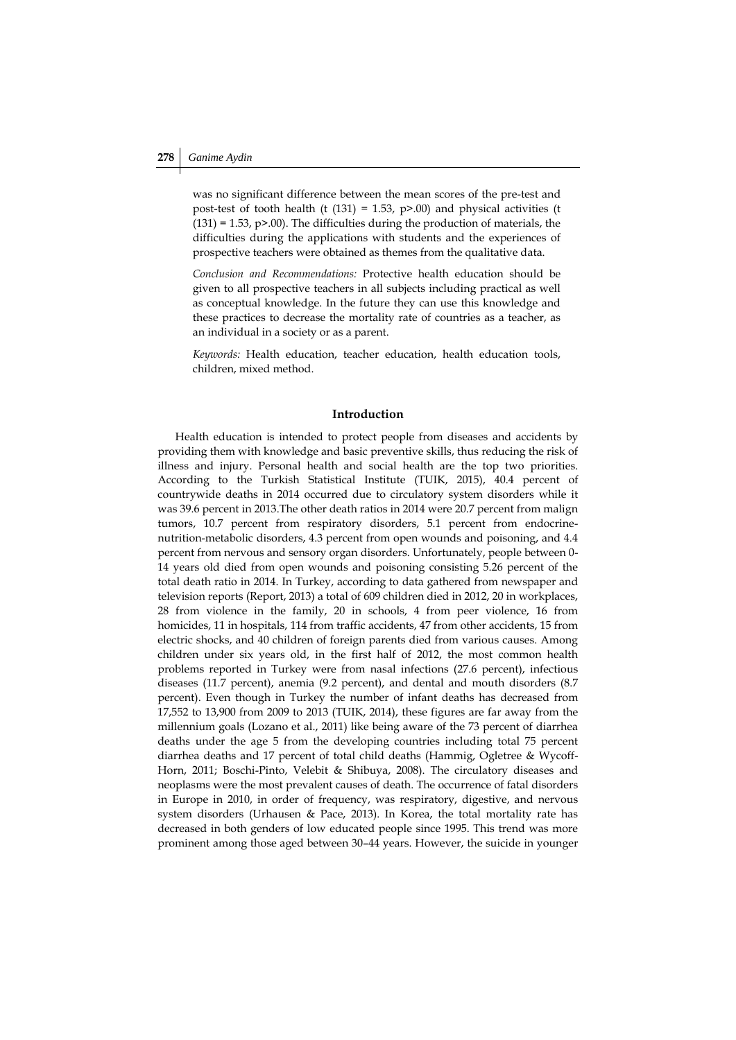was no significant difference between the mean scores of the pre-test and post-test of tooth health (t  $(131) = 1.53$ , p>.00) and physical activities (t  $(131) = 1.53$ ,  $p > .00$ ). The difficulties during the production of materials, the difficulties during the applications with students and the experiences of prospective teachers were obtained as themes from the qualitative data.

*Conclusion and Recommendations:* Protective health education should be given to all prospective teachers in all subjects including practical as well as conceptual knowledge. In the future they can use this knowledge and these practices to decrease the mortality rate of countries as a teacher, as an individual in a society or as a parent.

*Keywords:* Health education, teacher education, health education tools, children, mixed method.

### **Introduction**

Health education is intended to protect people from diseases and accidents by providing them with knowledge and basic preventive skills, thus reducing the risk of illness and injury. Personal health and social health are the top two priorities. According to the Turkish Statistical Institute (TUIK, 2015), 40.4 percent of countrywide deaths in 2014 occurred due to circulatory system disorders while it was 39.6 percent in 2013.The other death ratios in 2014 were 20.7 percent from malign tumors, 10.7 percent from respiratory disorders, 5.1 percent from endocrinenutrition-metabolic disorders, 4.3 percent from open wounds and poisoning, and 4.4 percent from nervous and sensory organ disorders. Unfortunately, people between 0- 14 years old died from open wounds and poisoning consisting 5.26 percent of the total death ratio in 2014. In Turkey, according to data gathered from newspaper and television reports (Report, 2013) a total of 609 children died in 2012, 20 in workplaces, 28 from violence in the family, 20 in schools, 4 from peer violence, 16 from homicides, 11 in hospitals, 114 from traffic accidents, 47 from other accidents, 15 from electric shocks, and 40 children of foreign parents died from various causes. Among children under six years old, in the first half of 2012, the most common health problems reported in Turkey were from nasal infections (27.6 percent), infectious diseases (11.7 percent), anemia (9.2 percent), and dental and mouth disorders (8.7 percent). Even though in Turkey the number of infant deaths has decreased from 17,552 to 13,900 from 2009 to 2013 (TUIK, 2014), these figures are far away from the millennium goals (Lozano et al., 2011) like being aware of the 73 percent of diarrhea deaths under the age 5 from the developing countries including total 75 percent diarrhea deaths and 17 percent of total child deaths (Hammig, Ogletree & Wycoff-Horn, 2011; Boschi-Pinto, Velebit & Shibuya, 2008). The circulatory diseases and neoplasms were the most prevalent causes of death. The occurrence of fatal disorders in Europe in 2010, in order of frequency, was respiratory, digestive, and nervous system disorders (Urhausen & Pace, 2013). In Korea, the total mortality rate has decreased in both genders of low educated people since 1995. This trend was more prominent among those aged between 30–44 years. However, the suicide in younger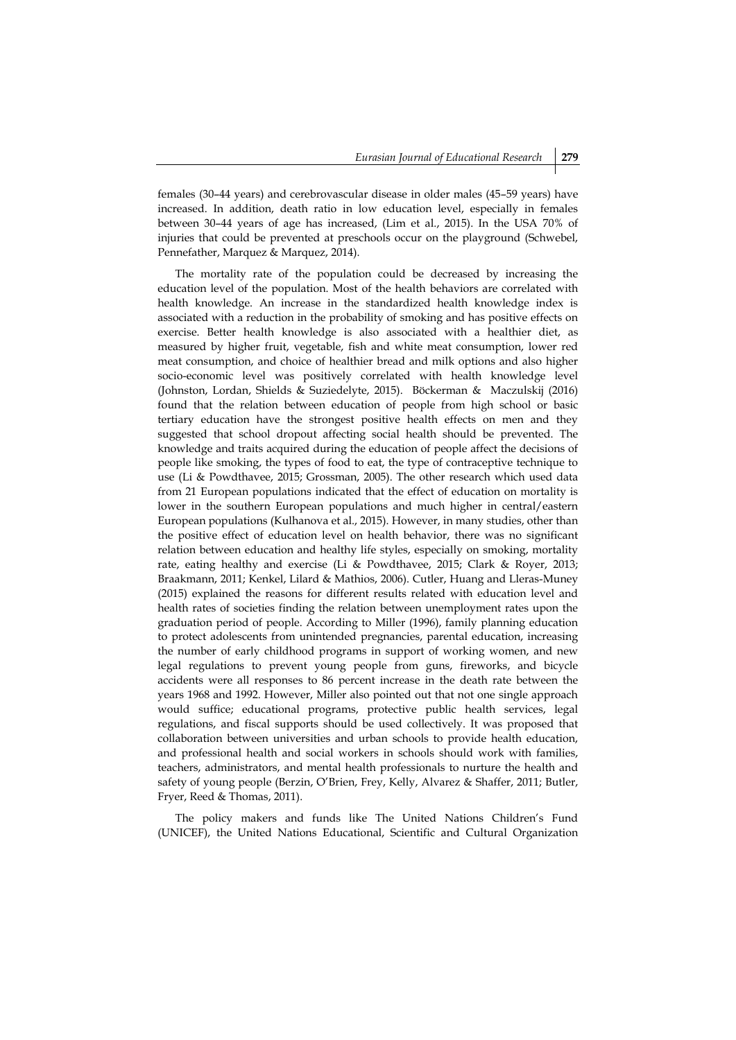females (30–44 years) and cerebrovascular disease in older males (45–59 years) have increased. In addition, death ratio in low education level, especially in females between 30–44 years of age has increased, (Lim et al., 2015). In the USA 70% of injuries that could be prevented at preschools occur on the playground (Schwebel, Pennefather, Marquez & Marquez, 2014).

The mortality rate of the population could be decreased by increasing the education level of the population. Most of the health behaviors are correlated with health knowledge. An increase in the standardized health knowledge index is associated with a reduction in the probability of smoking and has positive effects on exercise. Better health knowledge is also associated with a healthier diet, as measured by higher fruit, vegetable, fish and white meat consumption, lower red meat consumption, and choice of healthier bread and milk options and also higher socio-economic level was positively correlated with health knowledge level (Johnston, Lordan, Shields & Suziedelyte, 2015). Böckerman & Maczulskij (2016) found that the relation between education of people from high school or basic tertiary education have the strongest positive health effects on men and they suggested that school dropout affecting social health should be prevented. The knowledge and traits acquired during the education of people affect the decisions of people like smoking, the types of food to eat, the type of contraceptive technique to use (Li & Powdthavee, 2015; Grossman, 2005). The other research which used data from 21 European populations indicated that the effect of education on mortality is lower in the southern European populations and much higher in central/eastern European populations (Kulhanova et al., 2015). However, in many studies, other than the positive effect of education level on health behavior, there was no significant relation between education and healthy life styles, especially on smoking, mortality rate, eating healthy and exercise (Li & Powdthavee, 2015; Clark & Royer, 2013; Braakmann, 2011; Kenkel, Lilard & Mathios, 2006). Cutler, Huang and Lleras-Muney (2015) explained the reasons for different results related with education level and health rates of societies finding the relation between unemployment rates upon the graduation period of people. According to Miller (1996), family planning education to protect adolescents from unintended pregnancies, parental education, increasing the number of early childhood programs in support of working women, and new legal regulations to prevent young people from guns, fireworks, and bicycle accidents were all responses to 86 percent increase in the death rate between the years 1968 and 1992. However, Miller also pointed out that not one single approach would suffice; educational programs, protective public health services, legal regulations, and fiscal supports should be used collectively. It was proposed that collaboration between universities and urban schools to provide health education, and professional health and social workers in schools should work with families, teachers, administrators, and mental health professionals to nurture the health and safety of young people (Berzin, O'Brien, Frey, Kelly, Alvarez & Shaffer, 2011; Butler, Fryer, Reed & Thomas, 2011).

The policy makers and funds like The United Nations Children's Fund (UNICEF), the United Nations Educational, Scientific and Cultural Organization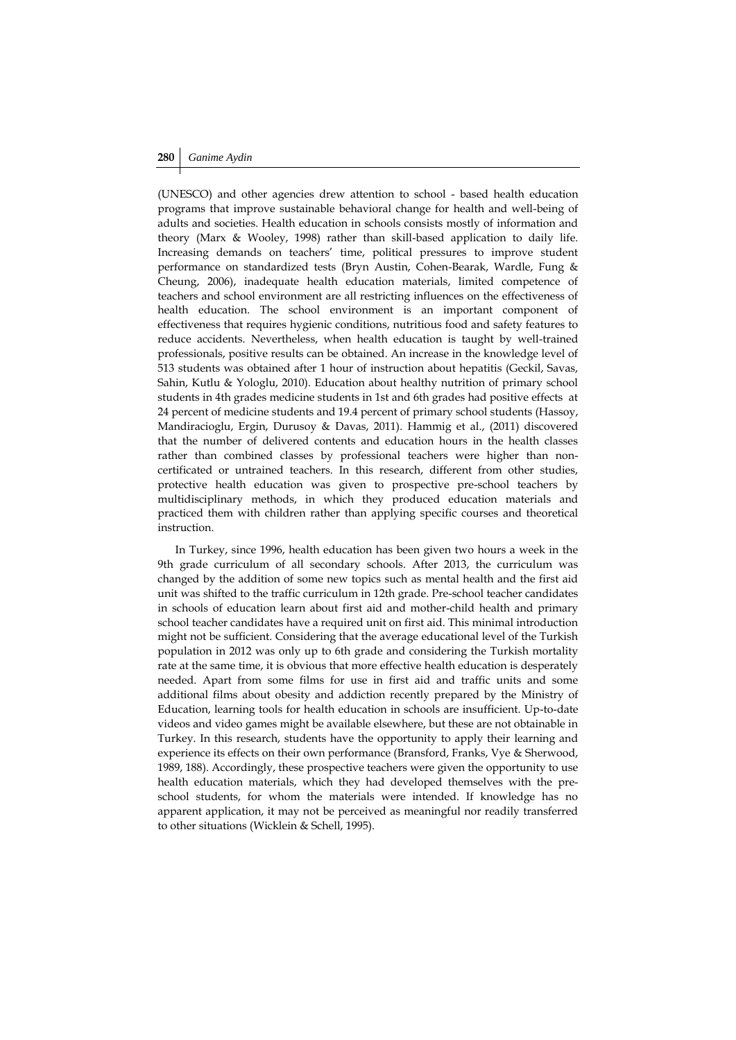## **280** *Ganime Aydin*

(UNESCO) and other agencies drew attention to school - based health education programs that improve sustainable behavioral change for health and well-being of adults and societies. Health education in schools consists mostly of information and theory (Marx & Wooley, 1998) rather than skill-based application to daily life. Increasing demands on teachers' time, political pressures to improve student performance on standardized tests (Bryn Austin, Cohen-Bearak, Wardle, Fung & Cheung, 2006), inadequate health education materials, limited competence of teachers and school environment are all restricting influences on the effectiveness of health education. The school environment is an important component of effectiveness that requires hygienic conditions, nutritious food and safety features to reduce accidents. Nevertheless, when health education is taught by well-trained professionals, positive results can be obtained. An increase in the knowledge level of 513 students was obtained after 1 hour of instruction about hepatitis (Geckil, Savas, Sahin, Kutlu & Yologlu, 2010). Education about healthy nutrition of primary school students in 4th grades medicine students in 1st and 6th grades had positive effects at 24 percent of medicine students and 19.4 percent of primary school students (Hassoy, Mandiracioglu, Ergin, Durusoy & Davas, 2011). Hammig et al., (2011) discovered that the number of delivered contents and education hours in the health classes rather than combined classes by professional teachers were higher than noncertificated or untrained teachers. In this research, different from other studies, protective health education was given to prospective pre-school teachers by multidisciplinary methods, in which they produced education materials and practiced them with children rather than applying specific courses and theoretical instruction.

In Turkey, since 1996, health education has been given two hours a week in the 9th grade curriculum of all secondary schools. After 2013, the curriculum was changed by the addition of some new topics such as mental health and the first aid unit was shifted to the traffic curriculum in 12th grade. Pre-school teacher candidates in schools of education learn about first aid and mother-child health and primary school teacher candidates have a required unit on first aid. This minimal introduction might not be sufficient. Considering that the average educational level of the Turkish population in 2012 was only up to 6th grade and considering the Turkish mortality rate at the same time, it is obvious that more effective health education is desperately needed. Apart from some films for use in first aid and traffic units and some additional films about obesity and addiction recently prepared by the Ministry of Education, learning tools for health education in schools are insufficient. Up-to-date videos and video games might be available elsewhere, but these are not obtainable in Turkey. In this research, students have the opportunity to apply their learning and experience its effects on their own performance (Bransford, Franks, Vye & Sherwood, 1989, 188). Accordingly, these prospective teachers were given the opportunity to use health education materials, which they had developed themselves with the preschool students, for whom the materials were intended. If knowledge has no apparent application, it may not be perceived as meaningful nor readily transferred to other situations (Wicklein & Schell, 1995).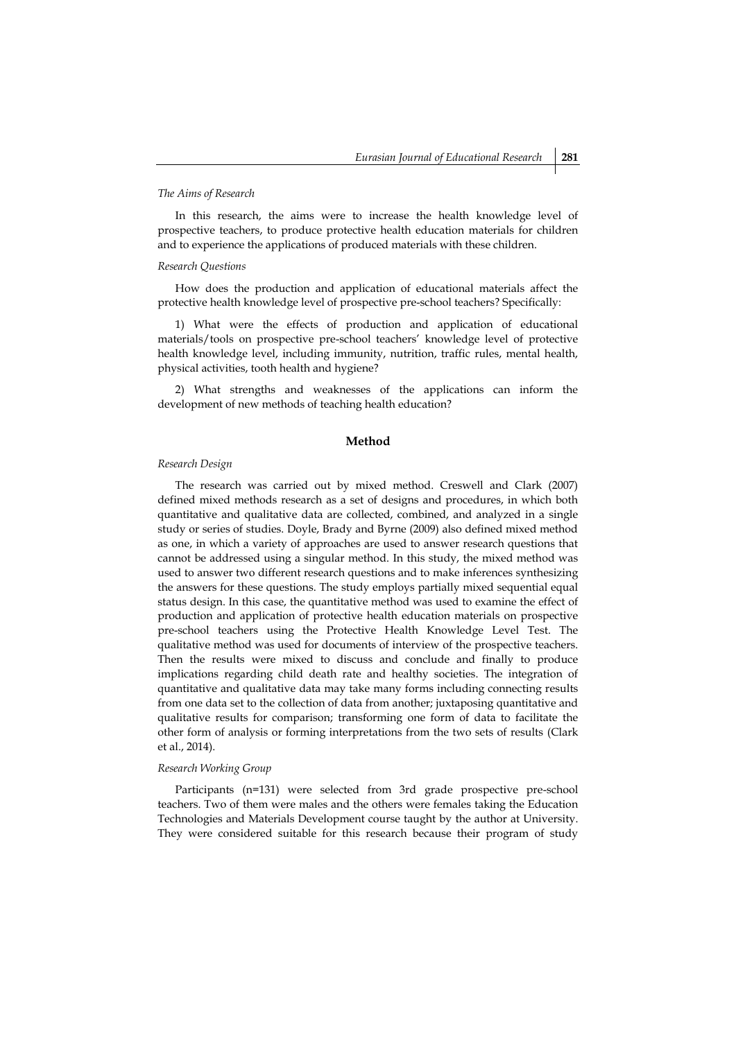### *The Aims of Research*

In this research, the aims were to increase the health knowledge level of prospective teachers, to produce protective health education materials for children and to experience the applications of produced materials with these children.

### *Research Questions*

How does the production and application of educational materials affect the protective health knowledge level of prospective pre-school teachers? Specifically:

1) What were the effects of production and application of educational materials/tools on prospective pre-school teachers' knowledge level of protective health knowledge level, including immunity, nutrition, traffic rules, mental health, physical activities, tooth health and hygiene?

2) What strengths and weaknesses of the applications can inform the development of new methods of teaching health education?

## **Method**

### *Research Design*

The research was carried out by mixed method. Creswell and Clark (2007) defined mixed methods research as a set of designs and procedures, in which both quantitative and qualitative data are collected, combined, and analyzed in a single study or series of studies. Doyle, Brady and Byrne (2009) also defined mixed method as one, in which a variety of approaches are used to answer research questions that cannot be addressed using a singular method. In this study, the mixed method was used to answer two different research questions and to make inferences synthesizing the answers for these questions. The study employs partially mixed sequential equal status design. In this case, the quantitative method was used to examine the effect of production and application of protective health education materials on prospective pre-school teachers using the Protective Health Knowledge Level Test. The qualitative method was used for documents of interview of the prospective teachers. Then the results were mixed to discuss and conclude and finally to produce implications regarding child death rate and healthy societies. The integration of quantitative and qualitative data may take many forms including connecting results from one data set to the collection of data from another; juxtaposing quantitative and qualitative results for comparison; transforming one form of data to facilitate the other form of analysis or forming interpretations from the two sets of results (Clark et al., 2014).

## *Research Working Group*

Participants (n=131) were selected from 3rd grade prospective pre-school teachers. Two of them were males and the others were females taking the Education Technologies and Materials Development course taught by the author at University. They were considered suitable for this research because their program of study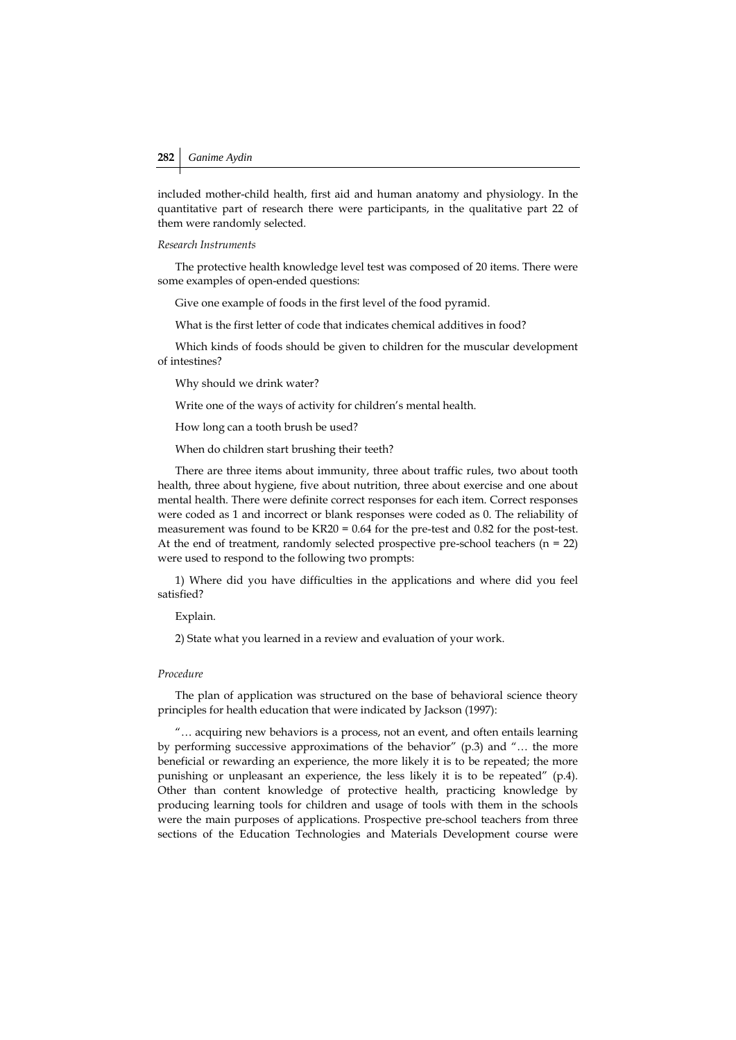included mother-child health, first aid and human anatomy and physiology. In the quantitative part of research there were participants, in the qualitative part 22 of them were randomly selected.

#### *Research Instruments*

The protective health knowledge level test was composed of 20 items. There were some examples of open-ended questions:

Give one example of foods in the first level of the food pyramid.

What is the first letter of code that indicates chemical additives in food?

Which kinds of foods should be given to children for the muscular development of intestines?

Why should we drink water?

Write one of the ways of activity for children's mental health.

How long can a tooth brush be used?

When do children start brushing their teeth?

There are three items about immunity, three about traffic rules, two about tooth health, three about hygiene, five about nutrition, three about exercise and one about mental health. There were definite correct responses for each item. Correct responses were coded as 1 and incorrect or blank responses were coded as 0. The reliability of measurement was found to be KR20 = 0.64 for the pre-test and 0.82 for the post-test. At the end of treatment, randomly selected prospective pre-school teachers  $(n = 22)$ were used to respond to the following two prompts:

1) Where did you have difficulties in the applications and where did you feel satisfied?

## Explain.

2) State what you learned in a review and evaluation of your work.

# *Procedure*

The plan of application was structured on the base of behavioral science theory principles for health education that were indicated by Jackson (1997):

"… acquiring new behaviors is a process, not an event, and often entails learning by performing successive approximations of the behavior" (p.3) and "… the more beneficial or rewarding an experience, the more likely it is to be repeated; the more punishing or unpleasant an experience, the less likely it is to be repeated" (p.4). Other than content knowledge of protective health, practicing knowledge by producing learning tools for children and usage of tools with them in the schools were the main purposes of applications. Prospective pre-school teachers from three sections of the Education Technologies and Materials Development course were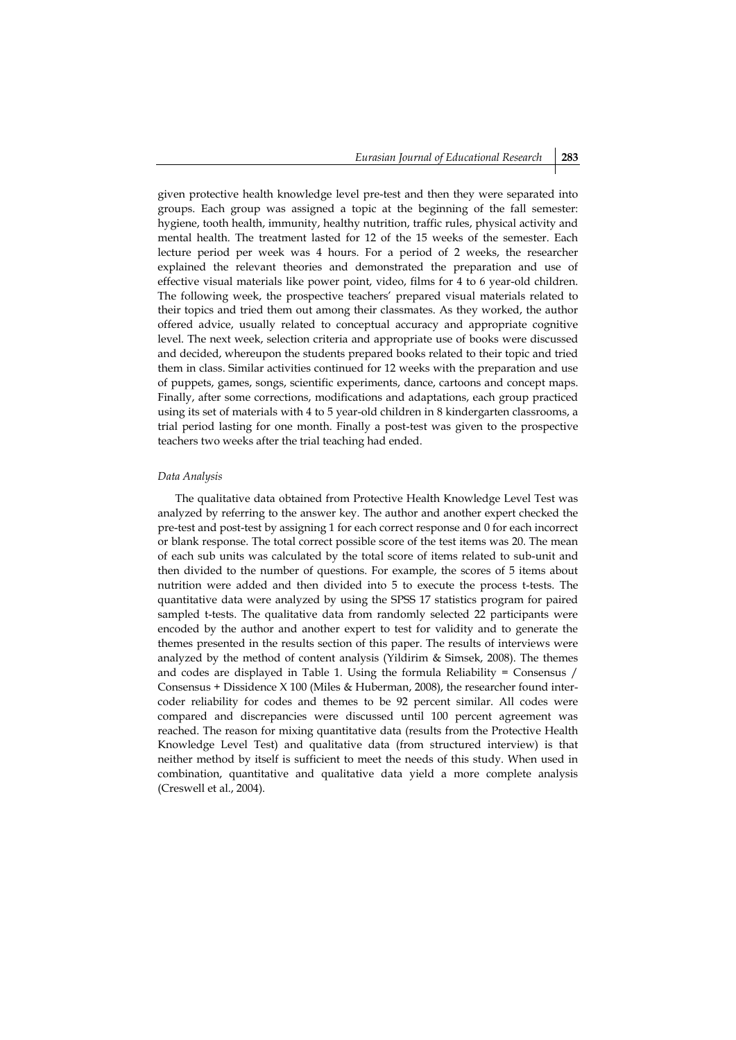given protective health knowledge level pre-test and then they were separated into groups. Each group was assigned a topic at the beginning of the fall semester: hygiene, tooth health, immunity, healthy nutrition, traffic rules, physical activity and mental health. The treatment lasted for 12 of the 15 weeks of the semester. Each lecture period per week was 4 hours. For a period of 2 weeks, the researcher explained the relevant theories and demonstrated the preparation and use of effective visual materials like power point, video, films for 4 to 6 year-old children. The following week, the prospective teachers' prepared visual materials related to their topics and tried them out among their classmates. As they worked, the author offered advice, usually related to conceptual accuracy and appropriate cognitive level. The next week, selection criteria and appropriate use of books were discussed and decided, whereupon the students prepared books related to their topic and tried them in class. Similar activities continued for 12 weeks with the preparation and use of puppets, games, songs, scientific experiments, dance, cartoons and concept maps. Finally, after some corrections, modifications and adaptations, each group practiced using its set of materials with 4 to 5 year-old children in 8 kindergarten classrooms, a trial period lasting for one month. Finally a post-test was given to the prospective teachers two weeks after the trial teaching had ended.

#### *Data Analysis*

The qualitative data obtained from Protective Health Knowledge Level Test was analyzed by referring to the answer key. The author and another expert checked the pre-test and post-test by assigning 1 for each correct response and 0 for each incorrect or blank response. The total correct possible score of the test items was 20. The mean of each sub units was calculated by the total score of items related to sub-unit and then divided to the number of questions. For example, the scores of 5 items about nutrition were added and then divided into 5 to execute the process t-tests. The quantitative data were analyzed by using the SPSS 17 statistics program for paired sampled t-tests. The qualitative data from randomly selected 22 participants were encoded by the author and another expert to test for validity and to generate the themes presented in the results section of this paper. The results of interviews were analyzed by the method of content analysis (Yildirim & Simsek, 2008). The themes and codes are displayed in Table 1. Using the formula Reliability = Consensus / Consensus + Dissidence X 100 (Miles & Huberman, 2008), the researcher found intercoder reliability for codes and themes to be 92 percent similar. All codes were compared and discrepancies were discussed until 100 percent agreement was reached. The reason for mixing quantitative data (results from the Protective Health Knowledge Level Test) and qualitative data (from structured interview) is that neither method by itself is sufficient to meet the needs of this study. When used in combination, quantitative and qualitative data yield a more complete analysis (Creswell et al., 2004).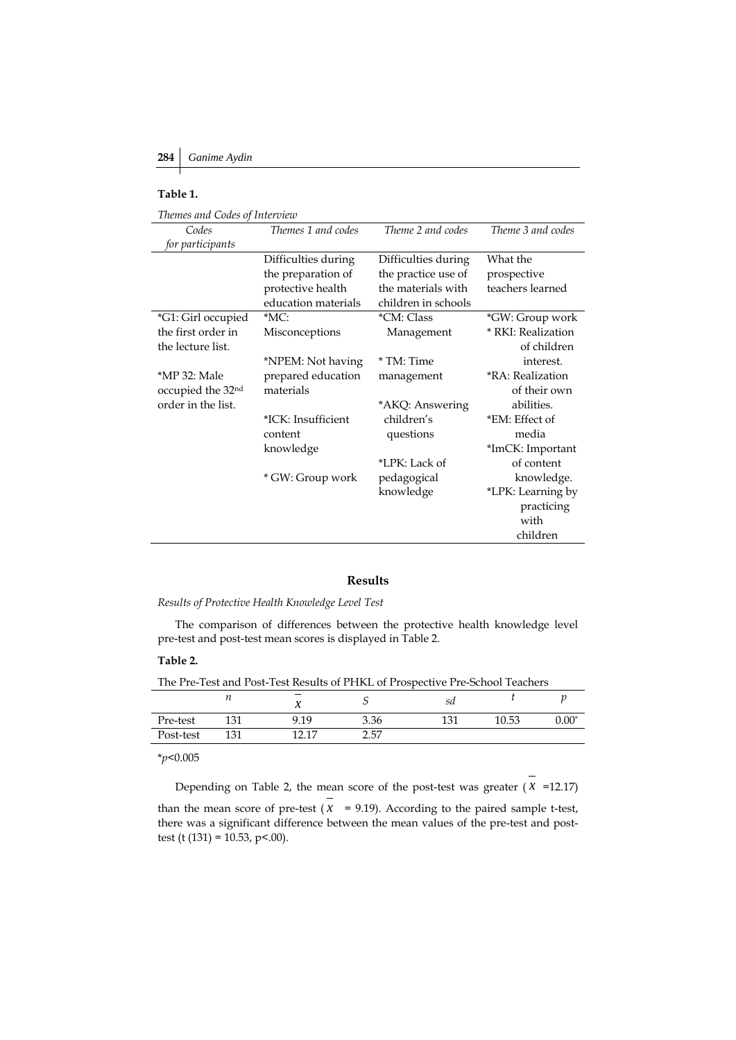## **Table 1.**

*Themes and Codes of Interview*

| Codes              | Themes 1 and codes  | Theme 2 and codes   | Theme 3 and codes  |  |  |
|--------------------|---------------------|---------------------|--------------------|--|--|
| for participants   |                     |                     |                    |  |  |
|                    | Difficulties during | Difficulties during | What the           |  |  |
|                    | the preparation of  | the practice use of | prospective        |  |  |
|                    | protective health   | the materials with  | teachers learned   |  |  |
|                    | education materials | children in schools |                    |  |  |
| *G1: Girl occupied | $*MC$               | *CM: Class          | *GW: Group work    |  |  |
| the first order in | Misconceptions      | Management          | * RKI: Realization |  |  |
| the lecture list.  |                     |                     | of children        |  |  |
|                    | *NPEM: Not having   | * TM: Time          | interest.          |  |  |
| *MP 32: Male       | prepared education  | management          | *RA: Realization   |  |  |
| occupied the 32nd  | materials           |                     | of their own       |  |  |
| order in the list. |                     | *AKQ: Answering     | abilities.         |  |  |
|                    | *ICK: Insufficient  | children's          | *EM: Effect of     |  |  |
|                    | content             | questions           | media              |  |  |
|                    | knowledge           |                     | *ImCK: Important   |  |  |
|                    |                     | *LPK: Lack of       | of content         |  |  |
|                    | * GW: Group work    | pedagogical         | knowledge.         |  |  |
|                    |                     | knowledge           | *LPK: Learning by  |  |  |
|                    |                     |                     | practicing         |  |  |
|                    |                     |                     | with               |  |  |
|                    |                     |                     | children           |  |  |

# **Results**

## *Results of Protective Health Knowledge Level Test*

The comparison of differences between the protective health knowledge level pre-test and post-test mean scores is displayed in Table 2.

# **Table 2.**

The Pre-Test and Post-Test Results of PHKL of Prospective Pre-School Teachers *n x S sd t p* Pre-test 131 9.19 3.36 131 10.53 0.00° Post-test 131 12.17 2.57

\**p*<0.005

Depending on Table 2, the mean score of the post-test was greater  $(X = 12.17)$ than the mean score of pre-test  $(x = 9.19)$ . According to the paired sample t-test, there was a significant difference between the mean values of the pre-test and post-

test (t  $(131) = 10.53$ , p<.00).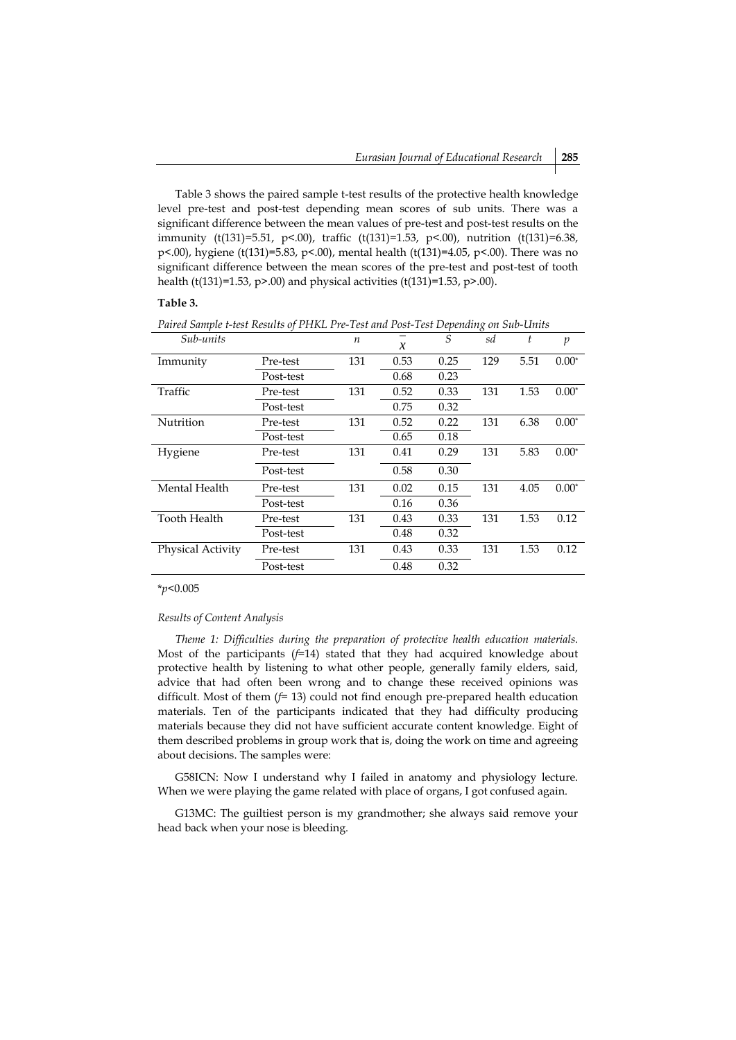Table 3 shows the paired sample t-test results of the protective health knowledge level pre-test and post-test depending mean scores of sub units. There was a significant difference between the mean values of pre-test and post-test results on the immunity (t(131)=5.51, p<.00), traffic (t(131)=1.53, p<.00), nutrition (t(131)=6.38, p<.00), hygiene (t(131)=5.83, p<.00), mental health (t(131)=4.05, p<.00). There was no significant difference between the mean scores of the pre-test and post-test of tooth health (t(131)=1.53, p>.00) and physical activities (t(131)=1.53, p>.00).

## **Table 3.**

*Paired Sample t-test Results of PHKL Pre-Test and Post-Test Depending on Sub-Units*

| Sub-units           |           | $\boldsymbol{n}$ | $\mathcal{X}$ | S    | sd  | t    | p       |
|---------------------|-----------|------------------|---------------|------|-----|------|---------|
| Immunity            | Pre-test  | 131              | 0.53          | 0.25 | 129 | 5.51 | $0.00*$ |
|                     | Post-test |                  | 0.68          | 0.23 |     |      |         |
| Traffic             | Pre-test  | 131              | 0.52          | 0.33 | 131 | 1.53 | $0.00*$ |
|                     | Post-test |                  | 0.75          | 0.32 |     |      |         |
| Nutrition           | Pre-test  | 131              | 0.52          | 0.22 | 131 | 6.38 | $0.00*$ |
|                     | Post-test |                  | 0.65          | 0.18 |     |      |         |
| Hygiene             | Pre-test  | 131              | 0.41          | 0.29 | 131 | 5.83 | $0.00*$ |
|                     | Post-test |                  | 0.58          | 0.30 |     |      |         |
| Mental Health       | Pre-test  | 131              | 0.02          | 0.15 | 131 | 4.05 | $0.00*$ |
|                     | Post-test |                  | 0.16          | 0.36 |     |      |         |
| <b>Tooth Health</b> | Pre-test  | 131              | 0.43          | 0.33 | 131 | 1.53 | 0.12    |
|                     | Post-test |                  | 0.48          | 0.32 |     |      |         |
| Physical Activity   | Pre-test  | 131              | 0.43          | 0.33 | 131 | 1.53 | 0.12    |
|                     | Post-test |                  | 0.48          | 0.32 |     |      |         |

#### \**p*<0.005

### *Results of Content Analysis*

*Theme 1: Difficulties during the preparation of protective health education materials.* Most of the participants (*f*=14) stated that they had acquired knowledge about protective health by listening to what other people, generally family elders, said, advice that had often been wrong and to change these received opinions was difficult. Most of them (*f*= 13) could not find enough pre-prepared health education materials. Ten of the participants indicated that they had difficulty producing materials because they did not have sufficient accurate content knowledge. Eight of them described problems in group work that is, doing the work on time and agreeing about decisions. The samples were:

G58ICN: Now I understand why I failed in anatomy and physiology lecture. When we were playing the game related with place of organs, I got confused again.

G13MC: The guiltiest person is my grandmother; she always said remove your head back when your nose is bleeding.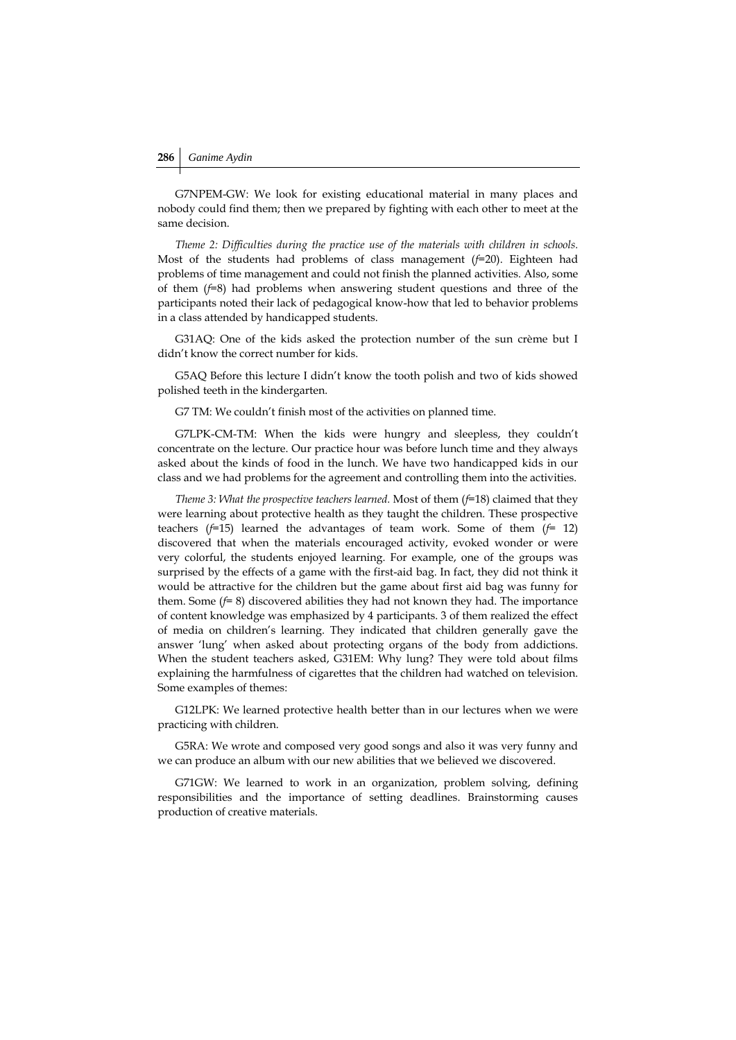G7NPEM-GW: We look for existing educational material in many places and nobody could find them; then we prepared by fighting with each other to meet at the same decision.

*Theme 2: Difficulties during the practice use of the materials with children in schools.* Most of the students had problems of class management (*f*=20). Eighteen had problems of time management and could not finish the planned activities. Also, some of them (*f*=8) had problems when answering student questions and three of the participants noted their lack of pedagogical know-how that led to behavior problems in a class attended by handicapped students.

G31AQ: One of the kids asked the protection number of the sun crème but I didn't know the correct number for kids.

G5AQ Before this lecture I didn't know the tooth polish and two of kids showed polished teeth in the kindergarten.

G7 TM: We couldn't finish most of the activities on planned time.

G7LPK-CM-TM: When the kids were hungry and sleepless, they couldn't concentrate on the lecture. Our practice hour was before lunch time and they always asked about the kinds of food in the lunch. We have two handicapped kids in our class and we had problems for the agreement and controlling them into the activities.

*Theme 3: What the prospective teachers learned.* Most of them (*f*=18) claimed that they were learning about protective health as they taught the children. These prospective teachers (*f*=15) learned the advantages of team work. Some of them (*f*= 12) discovered that when the materials encouraged activity, evoked wonder or were very colorful, the students enjoyed learning. For example, one of the groups was surprised by the effects of a game with the first-aid bag. In fact, they did not think it would be attractive for the children but the game about first aid bag was funny for them. Some (*f*= 8) discovered abilities they had not known they had. The importance of content knowledge was emphasized by 4 participants. 3 of them realized the effect of media on children's learning. They indicated that children generally gave the answer 'lung' when asked about protecting organs of the body from addictions. When the student teachers asked, G31EM: Why lung? They were told about films explaining the harmfulness of cigarettes that the children had watched on television. Some examples of themes:

G12LPK: We learned protective health better than in our lectures when we were practicing with children.

G5RA: We wrote and composed very good songs and also it was very funny and we can produce an album with our new abilities that we believed we discovered.

G71GW: We learned to work in an organization, problem solving, defining responsibilities and the importance of setting deadlines. Brainstorming causes production of creative materials.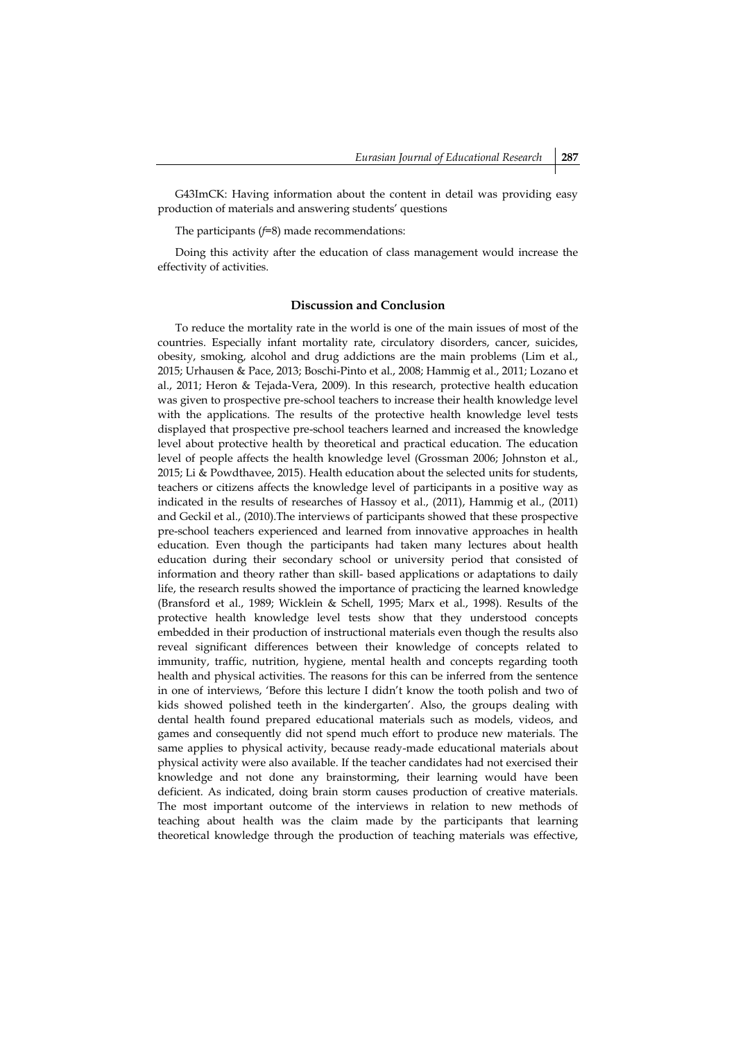G43ImCK: Having information about the content in detail was providing easy production of materials and answering students' questions

The participants (*f*=8) made recommendations:

Doing this activity after the education of class management would increase the effectivity of activities.

# **Discussion and Conclusion**

To reduce the mortality rate in the world is one of the main issues of most of the countries. Especially infant mortality rate, circulatory disorders, cancer, suicides, obesity, smoking, alcohol and drug addictions are the main problems (Lim et al., 2015; Urhausen & Pace, 2013; Boschi-Pinto et al., 2008; Hammig et al., 2011; Lozano et al., 2011; Heron & Tejada-Vera, 2009). In this research, protective health education was given to prospective pre-school teachers to increase their health knowledge level with the applications. The results of the protective health knowledge level tests displayed that prospective pre-school teachers learned and increased the knowledge level about protective health by theoretical and practical education. The education level of people affects the health knowledge level (Grossman 2006; Johnston et al., 2015; Li & Powdthavee, 2015). Health education about the selected units for students, teachers or citizens affects the knowledge level of participants in a positive way as indicated in the results of researches of Hassoy et al., (2011), Hammig et al., (2011) and Geckil et al., (2010).The interviews of participants showed that these prospective pre-school teachers experienced and learned from innovative approaches in health education. Even though the participants had taken many lectures about health education during their secondary school or university period that consisted of information and theory rather than skill- based applications or adaptations to daily life, the research results showed the importance of practicing the learned knowledge (Bransford et al., 1989; Wicklein & Schell, 1995; Marx et al., 1998). Results of the protective health knowledge level tests show that they understood concepts embedded in their production of instructional materials even though the results also reveal significant differences between their knowledge of concepts related to immunity, traffic, nutrition, hygiene, mental health and concepts regarding tooth health and physical activities. The reasons for this can be inferred from the sentence in one of interviews, 'Before this lecture I didn't know the tooth polish and two of kids showed polished teeth in the kindergarten'. Also, the groups dealing with dental health found prepared educational materials such as models, videos, and games and consequently did not spend much effort to produce new materials. The same applies to physical activity, because ready-made educational materials about physical activity were also available. If the teacher candidates had not exercised their knowledge and not done any brainstorming, their learning would have been deficient. As indicated, doing brain storm causes production of creative materials. The most important outcome of the interviews in relation to new methods of teaching about health was the claim made by the participants that learning theoretical knowledge through the production of teaching materials was effective,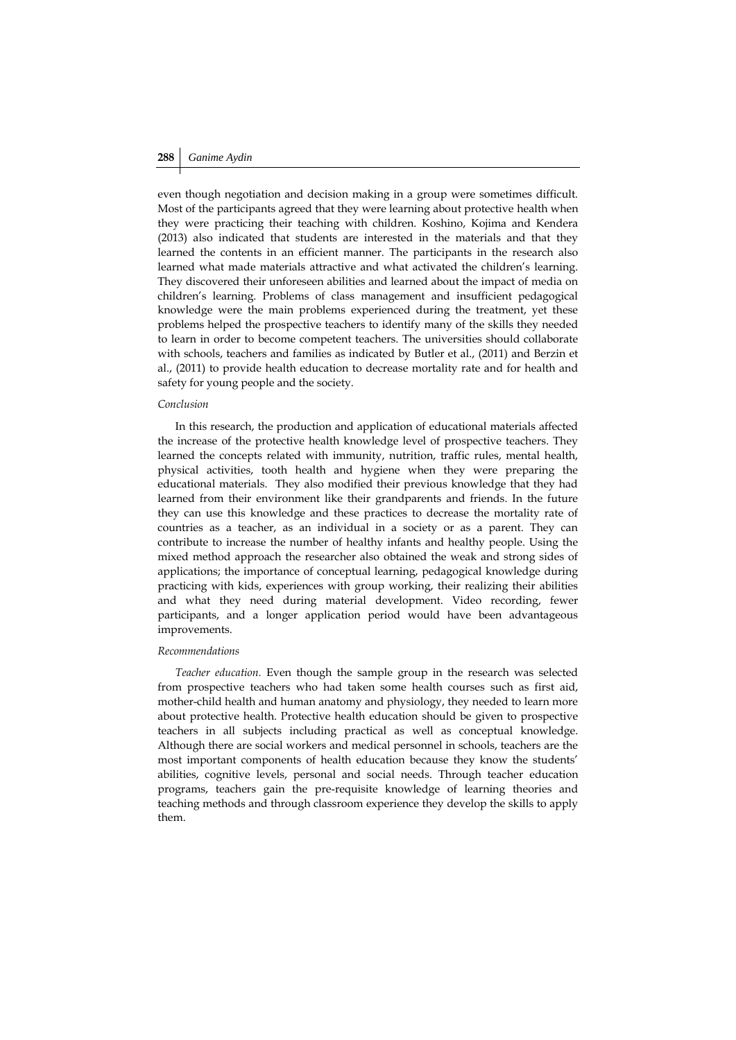even though negotiation and decision making in a group were sometimes difficult. Most of the participants agreed that they were learning about protective health when they were practicing their teaching with children. Koshino, Kojima and Kendera (2013) also indicated that students are interested in the materials and that they learned the contents in an efficient manner. The participants in the research also learned what made materials attractive and what activated the children's learning. They discovered their unforeseen abilities and learned about the impact of media on children's learning. Problems of class management and insufficient pedagogical knowledge were the main problems experienced during the treatment, yet these problems helped the prospective teachers to identify many of the skills they needed to learn in order to become competent teachers. The universities should collaborate with schools, teachers and families as indicated by Butler et al., (2011) and Berzin et al., (2011) to provide health education to decrease mortality rate and for health and safety for young people and the society.

### *Conclusion*

In this research, the production and application of educational materials affected the increase of the protective health knowledge level of prospective teachers. They learned the concepts related with immunity, nutrition, traffic rules, mental health, physical activities, tooth health and hygiene when they were preparing the educational materials. They also modified their previous knowledge that they had learned from their environment like their grandparents and friends. In the future they can use this knowledge and these practices to decrease the mortality rate of countries as a teacher, as an individual in a society or as a parent. They can contribute to increase the number of healthy infants and healthy people. Using the mixed method approach the researcher also obtained the weak and strong sides of applications; the importance of conceptual learning, pedagogical knowledge during practicing with kids, experiences with group working, their realizing their abilities and what they need during material development. Video recording, fewer participants, and a longer application period would have been advantageous improvements.

#### *Recommendations*

*Teacher education.* Even though the sample group in the research was selected from prospective teachers who had taken some health courses such as first aid, mother-child health and human anatomy and physiology, they needed to learn more about protective health. Protective health education should be given to prospective teachers in all subjects including practical as well as conceptual knowledge. Although there are social workers and medical personnel in schools, teachers are the most important components of health education because they know the students' abilities, cognitive levels, personal and social needs. Through teacher education programs, teachers gain the pre-requisite knowledge of learning theories and teaching methods and through classroom experience they develop the skills to apply them.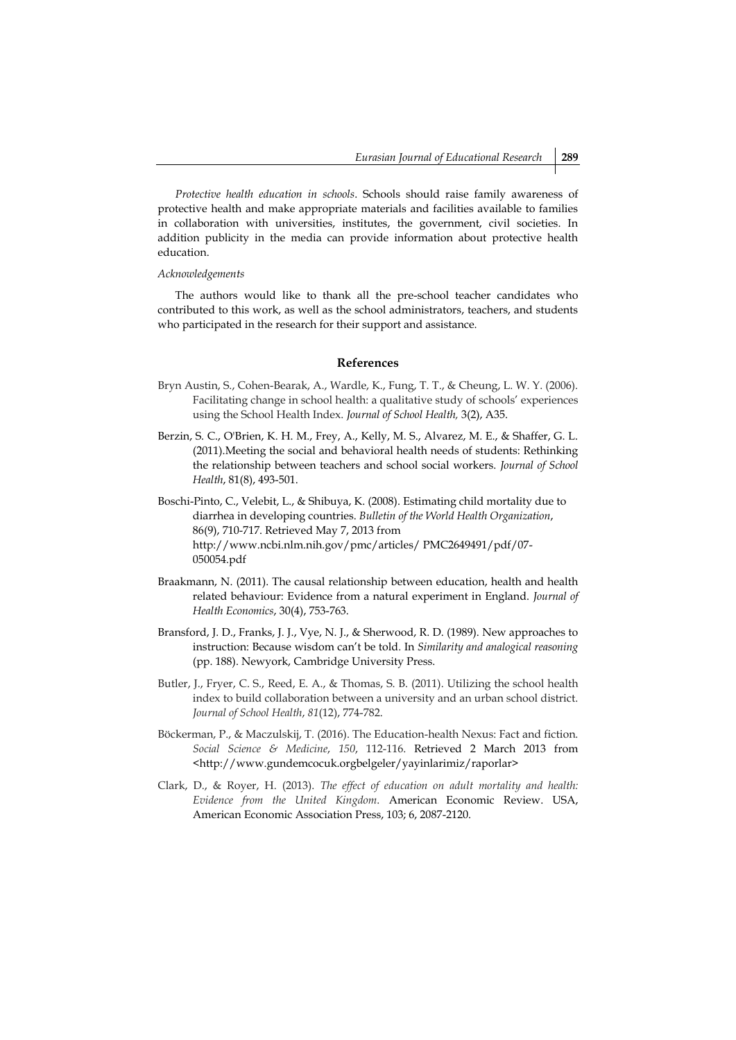*Protective health education in schools*. Schools should raise family awareness of protective health and make appropriate materials and facilities available to families in collaboration with universities, institutes, the government, civil societies. In addition publicity in the media can provide information about protective health education.

#### *Acknowledgements*

The authors would like to thank all the pre-school teacher candidates who contributed to this work, as well as the school administrators, teachers, and students who participated in the research for their support and assistance.

## **References**

- Bryn Austin, S., Cohen-Bearak, A., Wardle, K., Fung, T. T., & Cheung, L. W. Y. (2006). Facilitating change in school health: a qualitative study of schools' experiences using the School Health Index. *Journal of School Health,* 3(2), A35.
- Berzin, S. C., O'Brien, K. H. M., Frey, A., Kelly, M. S., Alvarez, M. E., & Shaffer, G. L. (2011).Meeting the social and behavioral health needs of students: Rethinking the relationship between teachers and school social workers. *Journal of School Health*, 81(8), 493-501.
- Boschi-Pinto, C., Velebit, L., & Shibuya, K. (2008). Estimating child mortality due to diarrhea in developing countries. *Bulletin of the World Health Organization*, 86(9), 710-717. Retrieved May 7, 2013 from http://www.ncbi.nlm.nih.gov/pmc/articles/ PMC2649491/pdf/07- 050054.pdf
- Braakmann, N. (2011). The causal relationship between education, health and health related behaviour: Evidence from a natural experiment in England. *Journal of Health Economics*, 30(4), 753-763.
- Bransford, J. D., Franks, J. J., Vye, N. J., & Sherwood, R. D. (1989). New approaches to instruction: Because wisdom can't be told*.* In *Similarity and analogical reasoning*  (pp. 188). Newyork, Cambridge University Press.
- Butler, J., Fryer, C. S., Reed, E. A., & Thomas, S. B. (2011). Utilizing the school health index to build collaboration between a university and an urban school district. *Journal of School Health*, *81*(12), 774-782.
- Böckerman, P., & Maczulskij, T. (2016). The Education-health Nexus: Fact and fiction. *Social Science & Medicine*, *150*, 112-116. Retrieved 2 March 2013 from <http://www.gundemcocuk.orgbelgeler/yayinlarimiz/raporlar>
- Clark, D., & Royer, H. (2013). *The effect of education on adult mortality and health: Evidence from the United Kingdom*. American Economic Review. USA, American Economic Association Press, 103; 6, 2087-2120.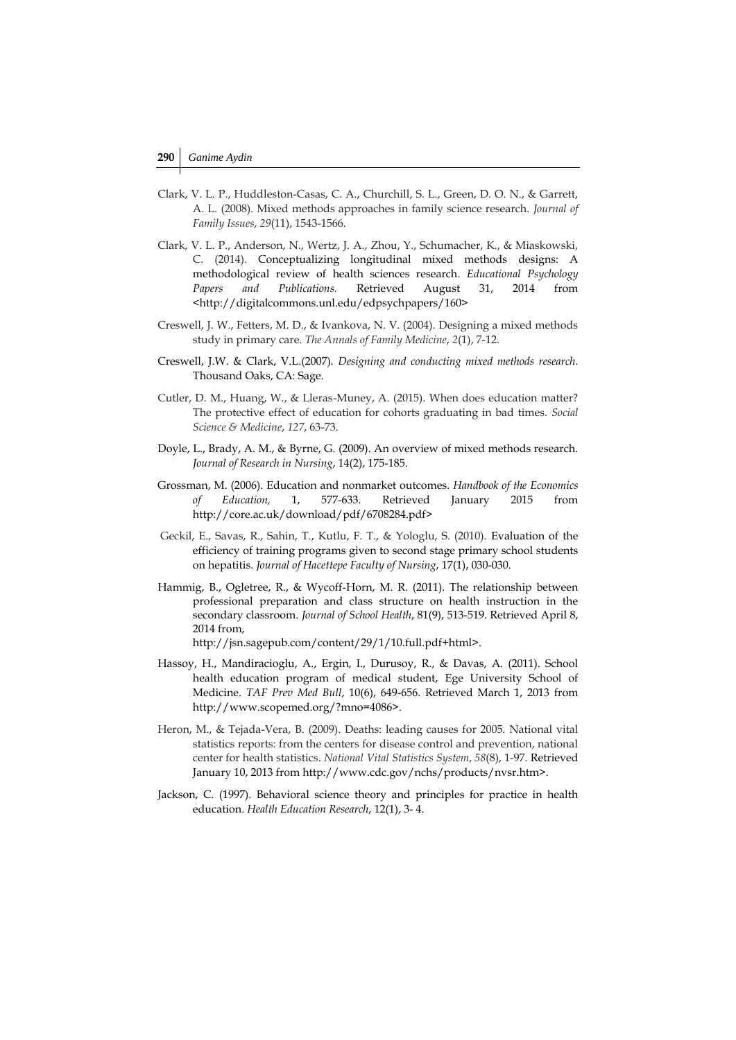- Clark, V. L. P., Huddleston-Casas, C. A., Churchill, S. L., Green, D. O. N., & Garrett, A. L. (2008). Mixed methods approaches in family science research. *Journal of Family Issues*, *29*(11), 1543-1566.
- Clark, V. L. P., Anderson, N., Wertz, J. A., Zhou, Y., Schumacher, K., & Miaskowski, C. (2014). Conceptualizing longitudinal mixed methods designs: A methodological review of health sciences research. *Educational Psychology Papers and Publications.* Retrieved August 31, 2014 from <http://digitalcommons.unl.edu/edpsychpapers/160>
- Creswell, J. W., Fetters, M. D., & Ivankova, N. V. (2004). Designing a mixed methods study in primary care. *The Annals of Family Medicine*, *2*(1), 7-12.
- Creswell, J.W. & Clark, V.L.(2007). *Designing and conducting mixed methods research*. Thousand Oaks, CA: Sage.
- Cutler, D. M., Huang, W., & Lleras-Muney, A. (2015). When does education matter? The protective effect of education for cohorts graduating in bad times. *Social Science & Medicine*, *127*, 63-73.
- Doyle, L., Brady, A. M., & Byrne, G. (2009). An overview of mixed methods research. *Journal of Research in Nursing*, 14(2), 175-185.
- Grossman, M. (2006). Education and nonmarket outcomes. *Handbook of the Economics of Education,* 1, 577-633. Retrieved January 2015 from http://core.ac.uk/download/pdf/6708284.pdf>
- Geckil, E., Savas, R., Sahin, T., Kutlu, F. T., & Yologlu, S. (2010). Evaluation of the efficiency of training programs given to second stage primary school students on hepatitis. *Journal of Hacettepe Faculty of Nursing*, 17(1), 030-030.
- Hammig, B., Ogletree, R., & Wycoff‐Horn, M. R. (2011). The relationship between professional preparation and class structure on health instruction in the secondary classroom. *Journal of School Health*, 81(9), 513-519. Retrieved April 8, 2014 from,

http://jsn.sagepub.com/content/29/1/10.full.pdf+html>.

- Hassoy, H., Mandiracioglu, A., Ergin, I., Durusoy, R., & Davas, A. (2011). School health education program of medical student, Ege University School of Medicine. *TAF Prev Med Bull*, 10(6), 649-656. Retrieved March 1, 2013 from http://www.scopemed.org/?mno=4086>.
- Heron, M., & Tejada-Vera, B. (2009). Deaths: leading causes for 2005. National vital statistics reports: from the centers for disease control and prevention, national center for health statistics. *National Vital Statistics System*, *58*(8), 1-97. Retrieved January 10, 2013 from http://www.cdc.gov/nchs/products/nvsr.htm>.
- Jackson, C. (1997). Behavioral science theory and principles for practice in health education. *Health Education Research*, 12(1), 3- 4.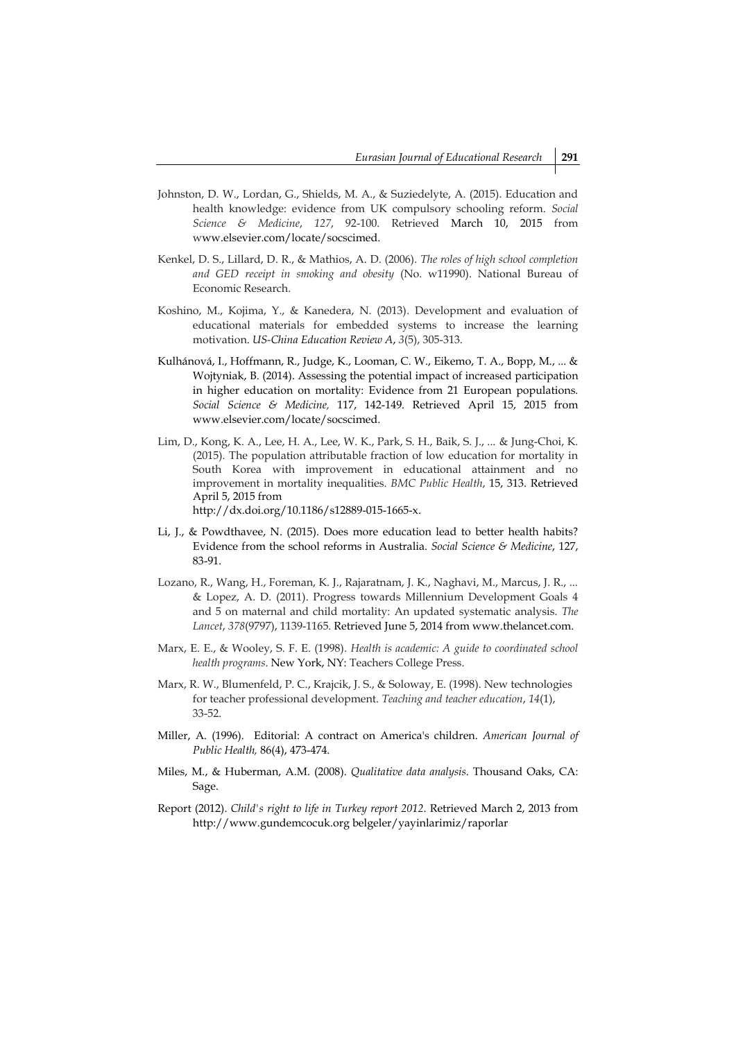- Johnston, D. W., Lordan, G., Shields, M. A., & Suziedelyte, A. (2015). Education and health knowledge: evidence from UK compulsory schooling reform. *Social Science & Medicine*, *127*, 92-100. Retrieved March 10, 2015 from www.elsevier.com/locate/socscimed.
- Kenkel, D. S., Lillard, D. R., & Mathios, A. D. (2006). *The roles of high school completion and GED receipt in smoking and obesity* (No. w11990). National Bureau of Economic Research.
- Koshino, M., Kojima, Y., & Kanedera, N. (2013). Development and evaluation of educational materials for embedded systems to increase the learning motivation. *US-China Education Review A*, *3*(5), 305-313.
- Kulhánová, I., Hoffmann, R., Judge, K., Looman, C. W., Eikemo, T. A., Bopp, M., ... & Wojtyniak, B. (2014). Assessing the potential impact of increased participation in higher education on mortality: Evidence from 21 European populations. *Social Science & Medicine,* 117, 142-149. Retrieved April 15, 2015 from www.elsevier.com/locate/socscimed.
- Lim, D., Kong, K. A., Lee, H. A., Lee, W. K., Park, S. H., Baik, S. J., ... & Jung-Choi, K. (2015). The population attributable fraction of low education for mortality in South Korea with improvement in educational attainment and no improvement in mortality inequalities. *BMC Public Health*, 15, 313. Retrieved April 5, 2015 from http://dx.doi.org/10.1186/s12889-015-1665-x.
- Li, J., & Powdthavee, N. (2015). Does more education lead to better health habits? Evidence from the school reforms in Australia. *Social Science & Medicine*, 127, 83-91.
- Lozano, R., Wang, H., Foreman, K. J., Rajaratnam, J. K., Naghavi, M., Marcus, J. R., ... & Lopez, A. D. (2011). Progress towards Millennium Development Goals 4 and 5 on maternal and child mortality: An updated systematic analysis. *The Lancet*, *378*(9797), 1139-1165. Retrieved June 5, 2014 from www.thelancet.com.
- Marx, E. E., & Wooley, S. F. E. (1998). *Health is academic: A guide to coordinated school health programs*. New York, NY: Teachers College Press.
- Marx, R. W., Blumenfeld, P. C., Krajcik, J. S., & Soloway, E. (1998). New technologies for teacher professional development. *Teaching and teacher education*, *14*(1), 33-52.
- Miller, A. (1996). Editorial: A contract on America's children. *American Journal of Public Health,* 86(4), 473-474.
- Miles, M., & Huberman, A.M. (2008). *Qualitative data analysis*. Thousand Oaks, CA: Sage.
- Report (2012). *Child's right to life in Turkey report 2012*. Retrieved March 2, 2013 from http://www.gundemcocuk.org belgeler/yayinlarimiz/raporlar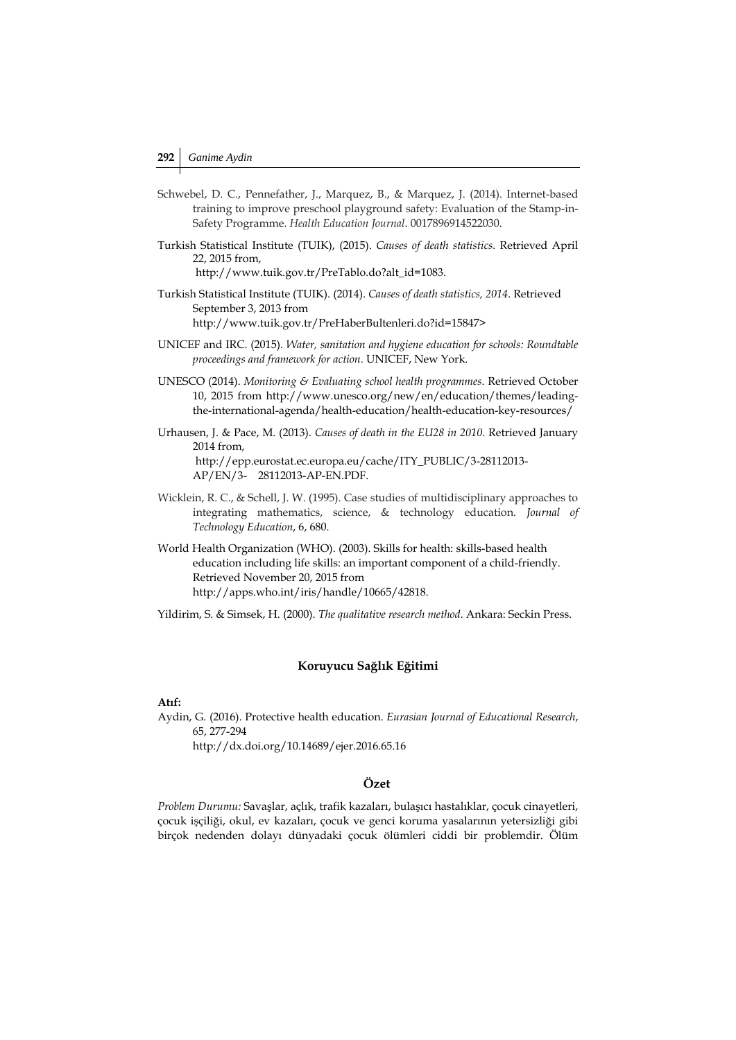- Schwebel, D. C., Pennefather, J., Marquez, B., & Marquez, J. (2014). Internet-based training to improve preschool playground safety: Evaluation of the Stamp-in-Safety Programme. *Health Education Journal*. 0017896914522030.
- Turkish Statistical Institute (TUIK), (2015). *Causes of death statistics*. Retrieved April 22, 2015 from,

http://www.tuik.gov.tr/PreTablo.do?alt\_id=1083.

- Turkish Statistical Institute (TUIK). (2014). *Causes of death statistics, 2014*. Retrieved September 3, 2013 from http://www.tuik.gov.tr/PreHaberBultenleri.do?id=15847>
- UNICEF and IRC. (2015). *Water, sanitation and hygiene education for schools: Roundtable proceedings and framework for action.* UNICEF, New York.
- UNESCO (2014). *Monitoring & Evaluating school health programmes*. Retrieved October 10, 2015 from http://www.unesco.org/new/en/education/themes/leadingthe-international-agenda/health-education/health-education-key-resources/
- Urhausen, J. & Pace, M. (2013). *Causes of death in the EU28 in 2010*. Retrieved January 2014 from, http://epp.eurostat.ec.europa.eu/cache/ITY\_PUBLIC/3-28112013- AP/EN/3- 28112013-AP-EN.PDF.
- Wicklein, R. C., & Schell, J. W. (1995). Case studies of multidisciplinary approaches to integrating mathematics, science, & technology education. *Journal of Technology Education*, 6, 680.
- World Health Organization (WHO). (2003). Skills for health: skills-based health education including life skills: an important component of a child-friendly. Retrieved November 20, 2015 from http://apps.who.int/iris/handle/10665/42818.

Yildirim, S. & Simsek, H. (2000). *The qualitative research method*. Ankara: Seckin Press.

# **Koruyucu Sağlık Eğitimi**

# **Atıf:**

Aydin, G. (2016). Protective health education. *Eurasian Journal of Educational Research*, 65, 277-294

http://dx.doi.org/10.14689/ejer.2016.65.16

## **Özet**

*Problem Durumu:* Savaşlar, açlık, trafik kazaları, bulaşıcı hastalıklar, çocuk cinayetleri, çocuk işçiliği, okul, ev kazaları, çocuk ve genci koruma yasalarının yetersizliği gibi birçok nedenden dolayı dünyadaki çocuk ölümleri ciddi bir problemdir. Ölüm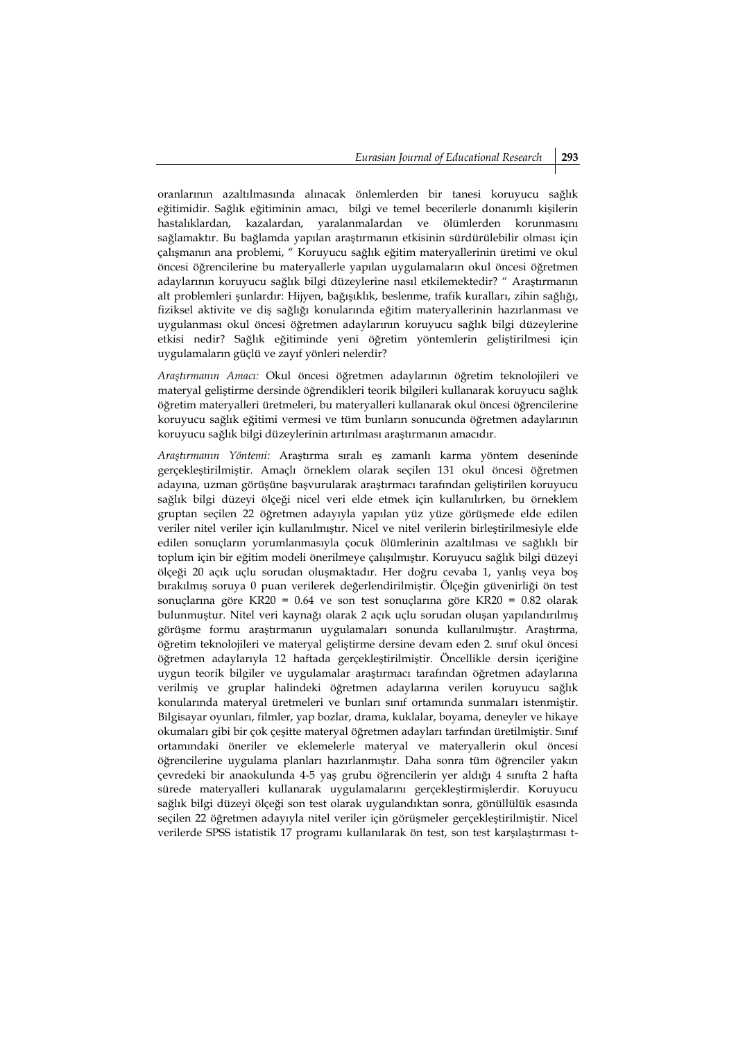oranlarının azaltılmasında alınacak önlemlerden bir tanesi koruyucu sağlık eğitimidir. Sağlık eğitiminin amacı, bilgi ve temel becerilerle donanımlı kişilerin hastalıklardan, kazalardan, yaralanmalardan ve ölümlerden korunmasını sağlamaktır. Bu bağlamda yapılan araştırmanın etkisinin sürdürülebilir olması için çalışmanın ana problemi, " Koruyucu sağlık eğitim materyallerinin üretimi ve okul öncesi öğrencilerine bu materyallerle yapılan uygulamaların okul öncesi öğretmen adaylarının koruyucu sağlık bilgi düzeylerine nasıl etkilemektedir? " Araştırmanın alt problemleri şunlardır: Hijyen, bağışıklık, beslenme, trafik kuralları, zihin sağlığı, fiziksel aktivite ve diş sağlığı konularında eğitim materyallerinin hazırlanması ve uygulanması okul öncesi öğretmen adaylarının koruyucu sağlık bilgi düzeylerine etkisi nedir? Sağlık eğitiminde yeni öğretim yöntemlerin geliştirilmesi için uygulamaların güçlü ve zayıf yönleri nelerdir?

*Araştırmanın Amacı:* Okul öncesi öğretmen adaylarının öğretim teknolojileri ve materyal geliştirme dersinde öğrendikleri teorik bilgileri kullanarak koruyucu sağlık öğretim materyalleri üretmeleri, bu materyalleri kullanarak okul öncesi öğrencilerine koruyucu sağlık eğitimi vermesi ve tüm bunların sonucunda öğretmen adaylarının koruyucu sağlık bilgi düzeylerinin artırılması araştırmanın amacıdır.

*Araştırmanın Yöntemi:* Araştırma sıralı eş zamanlı karma yöntem deseninde gerçekleştirilmiştir. Amaçlı örneklem olarak seçilen 131 okul öncesi öğretmen adayına, uzman görüşüne başvurularak araştırmacı tarafından geliştirilen koruyucu sağlık bilgi düzeyi ölçeği nicel veri elde etmek için kullanılırken, bu örneklem gruptan seçilen 22 öğretmen adayıyla yapılan yüz yüze görüşmede elde edilen veriler nitel veriler için kullanılmıştır. Nicel ve nitel verilerin birleştirilmesiyle elde edilen sonuçların yorumlanmasıyla çocuk ölümlerinin azaltılması ve sağlıklı bir toplum için bir eğitim modeli önerilmeye çalışılmıştır. Koruyucu sağlık bilgi düzeyi ölçeği 20 açık uçlu sorudan oluşmaktadır. Her doğru cevaba 1, yanlış veya boş bırakılmış soruya 0 puan verilerek değerlendirilmiştir. Ölçeğin güvenirliği ön test sonuçlarına göre KR20 = 0.64 ve son test sonuçlarına göre KR20 = 0.82 olarak bulunmuştur. Nitel veri kaynağı olarak 2 açık uçlu sorudan oluşan yapılandırılmış görüşme formu araştırmanın uygulamaları sonunda kullanılmıştır. Araştırma, öğretim teknolojileri ve materyal geliştirme dersine devam eden 2. sınıf okul öncesi öğretmen adaylarıyla 12 haftada gerçekleştirilmiştir. Öncellikle dersin içeriğine uygun teorik bilgiler ve uygulamalar araştırmacı tarafından öğretmen adaylarına verilmiş ve gruplar halindeki öğretmen adaylarına verilen koruyucu sağlık konularında materyal üretmeleri ve bunları sınıf ortamında sunmaları istenmiştir. Bilgisayar oyunları, filmler, yap bozlar, drama, kuklalar, boyama, deneyler ve hikaye okumaları gibi bir çok çeşitte materyal öğretmen adayları tarfından üretilmiştir. Sınıf ortamındaki öneriler ve eklemelerle materyal ve materyallerin okul öncesi öğrencilerine uygulama planları hazırlanmıştır. Daha sonra tüm öğrenciler yakın çevredeki bir anaokulunda 4-5 yaş grubu öğrencilerin yer aldığı 4 sınıfta 2 hafta sürede materyalleri kullanarak uygulamalarını gerçekleştirmişlerdir. Koruyucu sağlık bilgi düzeyi ölçeği son test olarak uygulandıktan sonra, gönüllülük esasında seçilen 22 öğretmen adayıyla nitel veriler için görüşmeler gerçekleştirilmiştir. Nicel verilerde SPSS istatistik 17 programı kullanılarak ön test, son test karşılaştırması t